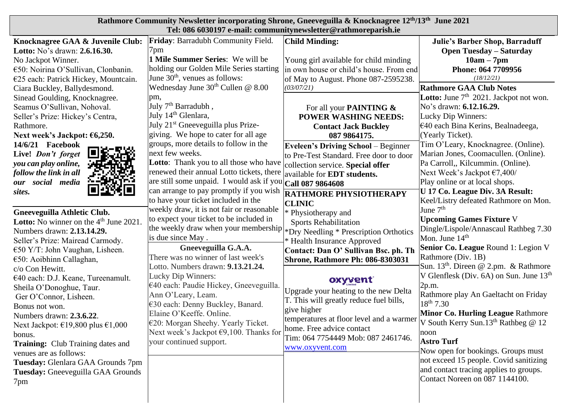| Rathmore Community Newsletter incorporating Shrone, Gneeveguilla & Knocknagree 12 <sup>th</sup> /13 <sup>th</sup> June 2021                                                                                                                                                                                                                                                                                                                                                                                                                                                                                                                                                                                                                                                                                  |                                                                                                                                                                                                                                                                                                                                                                                                                                                                                                                                                                                                                                                                                                                                                                                                                                                                                                                                                                                                                                                 |                                                                                                                                                                                                                                                                                                                                                                                                                                                                                                                                                                                                                                                                                                                                                                                                    |                                                                                                                                                                                                                                                                                                                                                                                                                                                                                                                                                                                                                                                                                                                                                                                                                                                                                         |  |  |
|--------------------------------------------------------------------------------------------------------------------------------------------------------------------------------------------------------------------------------------------------------------------------------------------------------------------------------------------------------------------------------------------------------------------------------------------------------------------------------------------------------------------------------------------------------------------------------------------------------------------------------------------------------------------------------------------------------------------------------------------------------------------------------------------------------------|-------------------------------------------------------------------------------------------------------------------------------------------------------------------------------------------------------------------------------------------------------------------------------------------------------------------------------------------------------------------------------------------------------------------------------------------------------------------------------------------------------------------------------------------------------------------------------------------------------------------------------------------------------------------------------------------------------------------------------------------------------------------------------------------------------------------------------------------------------------------------------------------------------------------------------------------------------------------------------------------------------------------------------------------------|----------------------------------------------------------------------------------------------------------------------------------------------------------------------------------------------------------------------------------------------------------------------------------------------------------------------------------------------------------------------------------------------------------------------------------------------------------------------------------------------------------------------------------------------------------------------------------------------------------------------------------------------------------------------------------------------------------------------------------------------------------------------------------------------------|-----------------------------------------------------------------------------------------------------------------------------------------------------------------------------------------------------------------------------------------------------------------------------------------------------------------------------------------------------------------------------------------------------------------------------------------------------------------------------------------------------------------------------------------------------------------------------------------------------------------------------------------------------------------------------------------------------------------------------------------------------------------------------------------------------------------------------------------------------------------------------------------|--|--|
| Knocknagree GAA & Juvenile Club:<br>Lotto: No's drawn: 2.6.16.30.<br>No Jackpot Winner.<br>€50: Noirina O'Sullivan, Clonbanin.<br>€25 each: Patrick Hickey, Mountcain.<br>Ciara Buckley, Ballydesmond.<br>Sinead Goulding, Knocknagree.<br>Seamus O'Sullivan, Nohoval.<br>Seller's Prize: Hickey's Centra,<br>Rathmore.<br>Next week's Jackpot: €6,250.<br>14/6/21 Facebook<br>Live! Don't forget<br>you can play online,<br>follow the link in all<br>our social media<br>sites.<br>Gneeveguilla Athletic Club.<br><b>Lotto:</b> No winner on the $4th$ June 2021<br>Numbers drawn: 2.13.14.29.<br>Seller's Prize: Mairead Carmody.<br>$\epsilon$ 50 Y/T: John Vaughan, Lisheen.<br>$\epsilon$ 50: Aoibhinn Callaghan,<br>c/o Con Hewitt.<br>€40 each: D.J. Keane, Tureenamult.<br>Sheila O'Donoghue, Taur. | Friday: Barradubh Community Field.<br>7pm<br>1 Mile Summer Series: We will be<br>holding our Golden Mile Series starting<br>June $30th$ , venues as follows:<br>Wednesday June $30th$ Cullen @ 8.00<br>pm,<br>July 7 <sup>th</sup> Barradubh,<br>July 14 <sup>th</sup> Glenlara,<br>July 21 <sup>st</sup> Gneeveguilla plus Prize-<br>giving. We hope to cater for all age<br>groups, more details to follow in the<br>next few weeks.<br>Lotto: Thank you to all those who have<br>renewed their annual Lotto tickets, there<br>are still some unpaid. I would ask if you $ $ Call 087 9864608<br>can arrange to pay promptly if you wish<br>to have your ticket included in the<br>weekly draw, it is not fair or reasonable<br>to expect your ticket to be included in<br>the weekly draw when your membership *Dry Needling * Prescription Orthotics<br>is due since May.<br>Gneeveguilla G.A.A.<br>There was no winner of last week's<br>Lotto. Numbers drawn: 9.13.21.24.<br>Lucky Dip Winners:<br>€40 each: Paudie Hickey, Gneeveguilla. | Tel: 086 6030197 e-mail: communitynewsletter@rathmoreparish.ie<br><b>Child Minding:</b><br>Young girl available for child minding<br>in own house or child's house. From end<br>of May to August. Phone 087-2595238.<br>(03/07/21)<br>For all your <b>PAINTING &amp;</b><br><b>POWER WASHING NEEDS:</b><br><b>Contact Jack Buckley</b><br>087 9864175.<br><b>Eveleen's Driving School</b> – Beginner<br>to Pre-Test Standard. Free door to door<br>collection service. Special offer<br>available for <b>EDT</b> students.<br><b>RATHMORE PHYSIOTHERAPY</b><br><b>CLINIC</b><br>* Physiotherapy and<br><b>Sports Rehabilitation</b><br>* Health Insurance Approved<br>Contact: Dan O' Sullivan Bsc. ph. Th<br>Shrone, Rathmore Ph: 086-8303031<br>oxyvent<br>Upgrade your heating to the new Delta | <b>Julie's Barber Shop, Barraduff</b><br><b>Open Tuesday - Saturday</b><br>$10am - 7pm$<br>Phone: 064 7709956<br>(18/12/21)<br><b>Rathmore GAA Club Notes</b><br><b>Lotto:</b> June $7th$ 2021. Jackpot not won.<br>No's drawn: 6.12.16.29.<br>Lucky Dip Winners:<br>$€40$ each Bina Kerins, Bealnadeega,<br>(Yearly Ticket).<br>Tim O'Leary, Knocknagree. (Online).<br>Marian Jones, Coomacullen. (Online).<br>Pa Carroll,, Kilcummin. (Online).<br>Next Week's Jackpot €7,400/<br>Play online or at local shops.<br>U 17 Co. League Div. 3A Result:<br>Keel/Listry defeated Rathmore on Mon.<br>June $7th$<br><b>Upcoming Games Fixture V</b><br>Dingle/Lispole/Annascaul Rathbeg 7.30<br>Mon. June $14th$<br>Senior Co. League Round 1: Legion V<br>Rathmore (Div. 1B)<br>Sun. 13 <sup>th</sup> . Direen @ 2.pm. & Rathmore<br>V Glenflesk (Div. $6A$ ) on Sun. June $13th$<br>2p.m. |  |  |
| Ger O'Connor, Lisheen.<br>Bonus not won.<br>Numbers drawn: 2.3.6.22.<br>Next Jackpot: €19,800 plus €1,000<br>bonus.<br>Training: Club Training dates and<br>venues are as follows:<br>Tuesday: Glenlara GAA Grounds 7pm<br>Tuesday: Gneeveguilla GAA Grounds<br>7pm                                                                                                                                                                                                                                                                                                                                                                                                                                                                                                                                          | Ann O'Leary, Leam.<br>€30 each: Denny Buckley, Banard.<br>Elaine O'Keeffe. Online.<br>$€20$ : Morgan Sheehy. Yearly Ticket.<br>Next week's Jackpot $\epsilon$ 9,100. Thanks for<br>your continued support.                                                                                                                                                                                                                                                                                                                                                                                                                                                                                                                                                                                                                                                                                                                                                                                                                                      | T. This will greatly reduce fuel bills,<br>give higher<br>temperatures at floor level and a warmer<br>home. Free advice contact<br>Tim: 064 7754449 Mob: 087 2461746.<br>www.oxyvent.com                                                                                                                                                                                                                                                                                                                                                                                                                                                                                                                                                                                                           | Rathmore play An Gaeltacht on Friday<br>18 <sup>th</sup> 7.30<br><b>Minor Co. Hurling League Rathmore</b><br>V South Kerry Sun. $13^{th}$ Rathbeg @ 12<br>noon<br><b>Astro Turf</b><br>Now open for bookings. Groups must<br>not exceed 15 people. Covid sanitizing<br>and contact tracing applies to groups.<br>Contact Noreen on 087 1144100.                                                                                                                                                                                                                                                                                                                                                                                                                                                                                                                                         |  |  |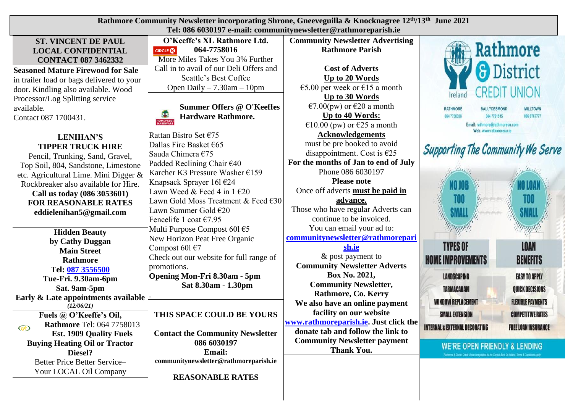| Rathmore Community Newsletter incorporating Shrone, Gneeveguilla & Knocknagree 12 <sup>th</sup> /13 <sup>th</sup> June 2021<br>Tel: 086 6030197 e-mail: communitynewsletter@rathmoreparish.ie                                                                                                    |                                                                                                                                                                                                                                                                                                                                  |                                                                                                                                                                                                                                                                                                                             |                                                                                                                                                                                                                                                                                                                                                   |  |  |  |
|--------------------------------------------------------------------------------------------------------------------------------------------------------------------------------------------------------------------------------------------------------------------------------------------------|----------------------------------------------------------------------------------------------------------------------------------------------------------------------------------------------------------------------------------------------------------------------------------------------------------------------------------|-----------------------------------------------------------------------------------------------------------------------------------------------------------------------------------------------------------------------------------------------------------------------------------------------------------------------------|---------------------------------------------------------------------------------------------------------------------------------------------------------------------------------------------------------------------------------------------------------------------------------------------------------------------------------------------------|--|--|--|
| <b>ST. VINCENT DE PAUL</b><br><b>LOCAL CONFIDENTIAL</b><br><b>CONTACT 087 3462332</b>                                                                                                                                                                                                            | O'Keeffe's XL Rathmore Ltd.<br>064-7758016<br><b>CIRCLE CO</b><br>More Miles Takes You 3% Further                                                                                                                                                                                                                                | <b>Community Newsletter Advertising</b><br><b>Rathmore Parish</b>                                                                                                                                                                                                                                                           | Rathmore                                                                                                                                                                                                                                                                                                                                          |  |  |  |
| <b>Seasoned Mature Firewood for Sale</b><br>in trailer load or bags delivered to your<br>door. Kindling also available. Wood<br>Processor/Log Splitting service<br>available.<br>Contact 087 1700431.                                                                                            | Call in to avail of our Deli Offers and<br>Seattle's Best Coffee<br>Open Daily $-7.30$ am $-10$ pm<br><b>Summer Offers @ O'Keeffes</b><br><b>Hardware Rathmore.</b>                                                                                                                                                              | <b>Cost of Adverts</b><br>Up to 20 Words<br>€5.00 per week or €15 a month<br>Up to 30 Words<br>$\epsilon$ 7.00(pw) or $\epsilon$ 20 a month<br>Up to 40 Words:                                                                                                                                                              | <b>District</b><br>Ireland<br><b>RATHMORE</b><br><b>BALLYDESMOND</b><br><b>MILLTOWN</b><br>066 9767777<br>064 7758328<br>064 7751515                                                                                                                                                                                                              |  |  |  |
| <b>LENIHAN'S</b><br><b>TIPPER TRUCK HIRE</b><br>Pencil, Trunking, Sand, Gravel,<br>Top Soil, 804, Sandstone, Limestone<br>etc. Agricultural Lime. Mini Digger &<br>Rockbreaker also available for Hire.<br>Call us today (086 3053601)<br><b>FOR REASONABLE RATES</b><br>eddielenihan5@gmail.com | Rattan Bistro Set $\epsilon$ 75<br>Dallas Fire Basket $\epsilon$ 65<br>Sauda Chimera €75<br>Padded Reclining Chair $640$<br>Karcher K3 Pressure Washer $£159$<br>Knapsack Sprayer 161 €24<br>Lawn Weed & Feed 4 in $1 \in 20$<br>Lawn Gold Moss Treatment & Feed €30<br>Lawn Summer Gold €20<br>Fencelife 1 coat $\epsilon$ 7.95 | €10.00 (pw) or €25 a month<br><b>Acknowledgements</b><br>must be pre booked to avoid<br>disappointment. Cost is $E$ 25<br>For the months of Jan to end of July<br>Phone 086 6030197<br><b>Please note</b><br>Once off adverts must be paid in<br>advance.<br>Those who have regular Adverts can<br>continue to be invoiced. | Email: rathmore@rathmorecu.com<br>Web: www.rathmorecu.ie<br><b>Supporting The Community We Serve</b>                                                                                                                                                                                                                                              |  |  |  |
| <b>Hidden Beauty</b><br>by Cathy Duggan<br><b>Main Street</b><br>Rathmore<br>Tel: 087 3556500<br>Tue-Fri. 9.30am-6pm<br>Sat. 9am-5pm                                                                                                                                                             | Multi Purpose Compost 601 €5<br>New Horizon Peat Free Organic<br>Compost 601 $\epsilon$ 7<br>Check out our website for full range of<br>promotions.<br>Opening Mon-Fri 8.30am - 5pm<br>Sat 8.30am - 1.30pm                                                                                                                       | You can email your ad to:<br>communitynewsletter@rathmorepari<br>sh.ie<br>& post payment to<br><b>Community Newsletter Adverts</b><br>Box No. 2021,<br><b>Community Newsletter,</b><br>Rathmore, Co. Kerry                                                                                                                  | <b>TYPES OF</b><br>LOAN<br><b>HOME IMPROVEMENTS</b><br><b>BENEFITS</b><br><b>LANDSCAPING</b><br><b>EASY TO APPLY</b><br>QUICK DECISIONS<br>TARMACADAM                                                                                                                                                                                             |  |  |  |
| Early & Late appointments available<br>(12/06/21)<br>Fuels @ O'Keeffe's Oil,<br><b>Rathmore Tel: 064 7758013</b><br>$\circledast$<br><b>Est. 1909 Quality Fuels</b><br><b>Buying Heating Oil or Tractor</b><br>Diesel?<br>Better Price Better Service-                                           | THIS SPACE COULD BE YOURS<br><b>Contact the Community Newsletter</b><br>086 6030197<br><b>Email:</b><br>communitynewsletter@rathmoreparish.ie                                                                                                                                                                                    | We also have an online payment<br>facility on our website<br>www.rathmoreparish.ie. Just click the<br>donate tab and follow the link to<br><b>Community Newsletter payment</b><br><b>Thank You.</b>                                                                                                                         | <b><i>WINDOW REPLACEMENT</i></b><br><b>FLEXIBLE PAYMENTS</b><br><b>COMPETITIVE RATES</b><br><b>SMALL EXTENSION</b><br><b>INTERNAL &amp; EXTERNAL DECORATING</b><br><b>FREE LOAN INSURANCE</b><br><b>WE'RE OPEN FRIENDLY &amp; LENDING</b><br>Rathmore & District Credit Union is regulated by the Genhal Bank Of Indand. Terms & Conditions Apply |  |  |  |
| Your LOCAL Oil Company                                                                                                                                                                                                                                                                           | <b>REASONABLE RATES</b>                                                                                                                                                                                                                                                                                                          |                                                                                                                                                                                                                                                                                                                             |                                                                                                                                                                                                                                                                                                                                                   |  |  |  |